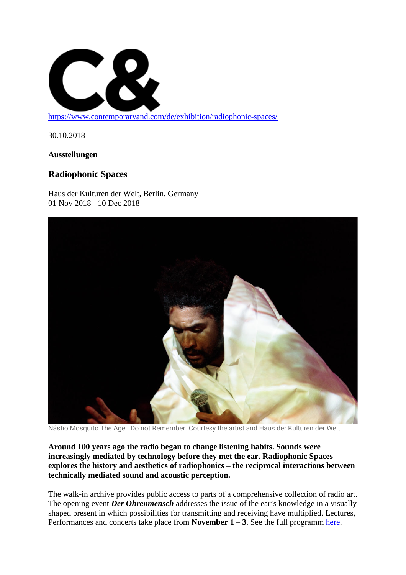

<https://www.contemporaryand.com/de/exhibition/radiophonic-spaces/>

30.10.2018

**Ausstellungen**

## **Radiophonic Spaces**

Haus der Kulturen der Welt, Berlin, Germany 01 Nov 2018 - 10 Dec 2018



Nástio Mosquito The Age I Do not Remember. Courtesy the artist and Haus der Kulturen der Welt

**Around 100 years ago the radio began to change listening habits. Sounds were increasingly mediated by technology before they met the ear. Radiophonic Spaces explores the history and aesthetics of radiophonics – the reciprocal interactions between technically mediated sound and acoustic perception.**

The walk-in archive provides public access to parts of a comprehensive collection of radio art. The opening event *Der Ohrenmensch* addresses the issue of the ear's knowledge in a visually shaped present in which possibilities for transmitting and receiving have multiplied. Lectures, Performances and concerts take place from **November**  $1 - 3$ . See the full programm [here.](https://www.hkw.de/de/programm/projekte/2018/radiophonic_spaces/ohrenmensch/der_ohrenmensch.php)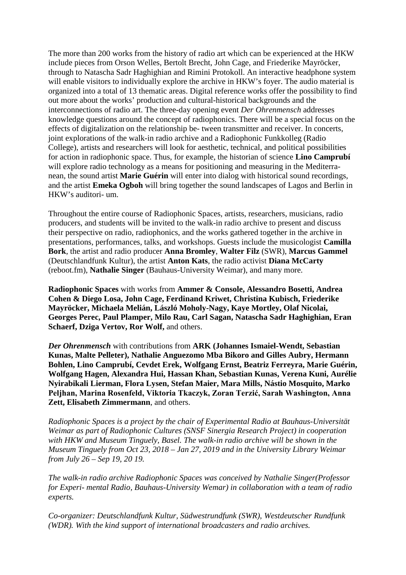The more than 200 works from the history of radio art which can be experienced at the HKW include pieces from Orson Welles, Bertolt Brecht, John Cage, and Friederike Mayröcker, through to Natascha Sadr Haghighian and Rimini Protokoll. An interactive headphone system will enable visitors to individually explore the archive in HKW's foyer. The audio material is organized into a total of 13 thematic areas. Digital reference works offer the possibility to find out more about the works' production and cultural-historical backgrounds and the interconnections of radio art. The three-day opening event *Der Ohrenmensch* addresses knowledge questions around the concept of radiophonics. There will be a special focus on the effects of digitalization on the relationship be- tween transmitter and receiver. In concerts, joint explorations of the walk-in radio archive and a Radiophonic Funkkolleg (Radio College), artists and researchers will look for aesthetic, technical, and political possibilities for action in radiophonic space. Thus, for example, the historian of science **Lino Camprubí** will explore radio technology as a means for positioning and measuring in the Mediterranean, the sound artist **Marie Guérin** will enter into dialog with historical sound recordings, and the artist **Emeka Ogboh** will bring together the sound landscapes of Lagos and Berlin in HKW's auditori- um.

Throughout the entire course of Radiophonic Spaces, artists, researchers, musicians, radio producers, and students will be invited to the walk-in radio archive to present and discuss their perspective on radio, radiophonics, and the works gathered together in the archive in presentations, performances, talks, and workshops. Guests include the musicologist **Camilla Bork**, the artist and radio producer **Anna Bromley**, **Walter Filz** (SWR), **Marcus Gammel** (Deutschlandfunk Kultur), the artist **Anton Kats**, the radio activist **Diana McCarty** (reboot.fm), **Nathalie Singer** (Bauhaus-University Weimar), and many more.

**Radiophonic Spaces** with works from **Ammer & Console, Alessandro Bosetti, Andrea Cohen & Diego Losa, John Cage, Ferdinand Kriwet, Christina Kubisch, Friederike Mayröcker, Michaela Melián, László Moholy-Nagy, Kaye Mortley, Olaf Nicolai, Georges Perec, Paul Plamper, Milo Rau, Carl Sagan, Natascha Sadr Haghighian, Eran Schaerf, Dziga Vertov, Ror Wolf,** and others.

*Der Ohrenmensch* with contributions from **ARK (Johannes Ismaiel-Wendt, Sebastian Kunas, Malte Pelleter), Nathalie Anguezomo Mba Bikoro and Gilles Aubry, Hermann Bohlen, Lino Camprubí, Cevdet Erek, Wolfgang Ernst, Beatriz Ferreyra, Marie Guérin, Wolfgang Hagen, Alexandra Hui, Hassan Khan, Sebastian Kunas, Verena Kuni, Aurélie Nyirabikali Lierman, Flora Lysen, Stefan Maier, Mara Mills, Nástio Mosquito, Marko Peljhan, Marina Rosenfeld, Viktoria Tkaczyk, Zoran Terzić, Sarah Washington, Anna Zett, Elisabeth Zimmermann**, and others.

*Radiophonic Spaces is a project by the chair of Experimental Radio at Bauhaus-Universität Weimar as part of Radiophonic Cultures (SNSF Sinergia Research Project) in cooperation with HKW and Museum Tinguely, Basel. The walk-in radio archive will be shown in the Museum Tinguely from Oct 23, 2018 – Jan 27, 2019 and in the University Library Weimar from July 26 – Sep 19, 20 19.*

*The walk-in radio archive Radiophonic Spaces was conceived by Nathalie Singer(Professor for Experi- mental Radio, Bauhaus-University Wemar) in collaboration with a team of radio experts.*

*Co-organizer: Deutschlandfunk Kultur, Südwestrundfunk (SWR), Westdeutscher Rundfunk (WDR). With the kind support of international broadcasters and radio archives.*